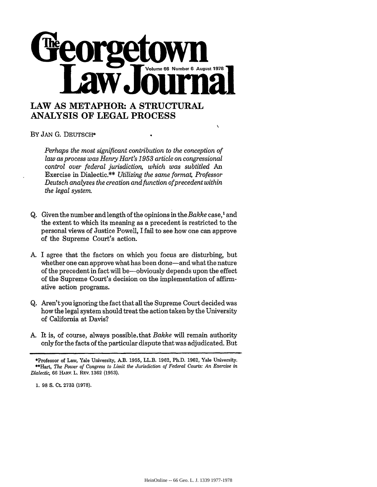

## **ANALYSIS OF LEGAL PROCESS**

BY **JAN G.** DEUTSCH\*

*Perhaps the most significant contribution to the conception of law as process was Henry Hart's 1953 article on congressional control over federal jurisdiction, which was subtitled An* Exercise in Dialectic.\*\* *Utilizing the same forma4 Professor Deutsch analyzes the creation and function ofprecedent within the legal system*

 $\lambda$ 

- **Q.** Given the number and length of the opinions in the *Bakke* case,<sup>1</sup> and the extent to which its meaning as a precedent is restricted to the personal views of Justice Powell, I fail to see how one can approve of the Supreme Court's action.
- A. I agree that the factors on which you focus are disturbing, but whether one can approve what has been done-and what the nature of the precedent in fact will be-obviously depends upon the effect of the Supreme Court's decision on the implementation of affirmative action programs.
- **Q.** Aren't you ignoring the fact that all the Supreme Court decided was how the legal system should treat the action taken by the University of California at Davis?
- A. It is, of course, always possible.that *Bakke* will remain authority only for the facts of the particular dispute that was adjudicated. But

**1.** 98 **S.** Ct. **2733 (1978).**

<sup>\*</sup>Professor of Law, Yale University, A.B. 1955, LL.B. 1962, Ph.D. 1962, Yale University. \*\*Hart, *The Power of Congress to Limit the Jurisdiction of Federal Courts: An Exercise in Dialectic,* **66** HARv. L. **REv. 1362 (1953).**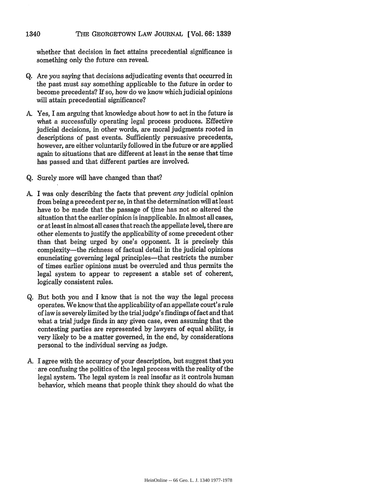## THE **GEORGETOWN** LAW **JOURNAL** [Vol. **66:1339 1340**

whether that decision in fact attains precedential significance is something only the future can reveal.

- Q. Are you saying that decisions adjudicating events that occurred in the past must say something applicable to the future in order to become precedents? If so, how do we know which judicial opinions will attain precedential significance?
- A. Yes, I am arguing that knowledge about how to act in the future is what a successfully operating legal process produces. Effective judicial decisions, in other words, are moral judgments rooted in descriptions of past events. Sufficiently persuasive precedents, however, are either voluntarily followed in the future or are applied again to situations that are different at least in the sense that time has passed and that different parties are involved.
- Q. Surely more will have changed than that?
- A. I was only describing the facts that prevent *any* judicial opinion from being a precedent per se, in that the determination will at least have to be made that the passage of time has not so altered the situation that the earlier opinion is inapplicable. In almost all cases, or at least in almost all cases that reach the appellate level, there are other elements to justify the applicability of some precedent other than that being urged by one's opponent. It is precisely this complexity-the richness of factual detail in the judicial opinions enunciating governing legal principles—that restricts the number of times earlier opinions must be overruled and thus permits the legal system to appear to represent a stable set of coherent, logically consistent rules.
- Q. But both you and I know that is not the way the legal process operates. We know that the applicability of an appellate court's rule of law is severely limited by the trial judge's findings of fact and that what a trial judge finds in any given case, even assuming that the contesting parties are represented by lawyers of equal ability, is very likely to be a matter governed, in the end, by considerations personal to the individual serving as judge.
- A. I agree with the accuracy of your description, but suggest that you are confusing the politics of the legal process with the reality of the legal system. The legal system is real insofar as it controls human behavior, which means that people think they should do what the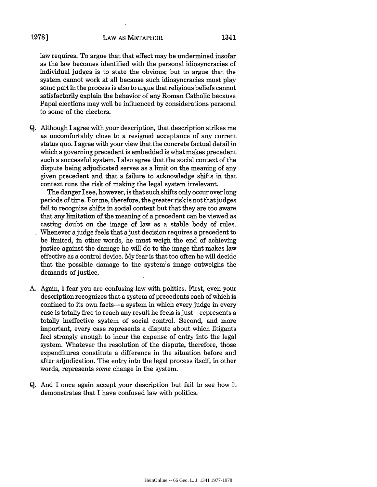law requires. To argue that that effect may be undermined insofar as the law becomes identified with the personal idiosyncracies of individual judges is to state the obvious; but to argue that the system cannot work at all because such idiosyncracies must play some part in the process is also to argue that religious beliefs cannot satisfactorily explain the behavior of any Roman Catholic because Papal elections may well be influenced by considerations personal to some of the electors.

Q. Although I agree with your description, that description strikes me as uncomfortably close to a resigned acceptance of any current status quo. I agree with your view that the concrete factual detail in which a governing precedent is embedded is what makes precedent such a successful system. I also agree that the social context of the dispute being adjudicated serves as a limit on the meaning of any given precedent and that a failure to acknowledge shifts in that context runs the risk of making the legal system irrelevant.

The danger I see, however, is that such shifts only occur over long periods of time. For me, therefore, the greater riskis not that judges fail to recognize shifts in social context but that they are too aware that any limitation of the meaning of a precedent can be viewed as casting doubt on the image of law as a stable body of rules. Whenever a judge feels that a just decision requires a precedent to be limited, in other words, he must weigh the end of achieving justice against the damage he will do to the image that makes law effective as a control device. My fear is that too often he will decide that the possible damage to the system's image outweighs the demands of justice.

- A. Again, I fear you are confusing law with politics. First, even your description recognizes that a system of precedents each of which is confined to its own facts-a system in which every judge in every case is totally free to reach any result he feels is just-represents a totally ineffective system of social control. Second, and more important, every case represents a dispute about which litigants feel strongly enough to incur the expense of entry into the legal system. Whatever the resolution of the dispute, therefore, those expenditures constitute a difference in the situation before and after adjudication. The entry into the legal process itself, in other words, represents *some* change in the system.
- Q. And I once again accept your description but fail to see how it demonstrates that I have confused law with politics.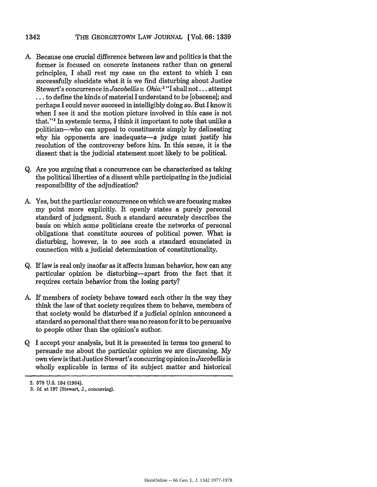- **A.** Because one crucial difference between law and politics is that the former is focused on concrete instances rather than on general principles, I shall rest my case on the extent to which I can successfully elucidate what it is we find disturbing about Justice Stewart's concurrence in *Jacobellis v. Ohio:2* "I shall not.., attempt ... to define the kinds of material I understand to be [obscene]; and perhaps I could never succeed in intelligibly doing so. But I know it when I see it and the motion picture involved in this case is not that."<sup>3</sup> In systemic terms, I think it important to note that unlike a politician-who can appeal to constituents simply by delineating why his opponents are inadequate—a judge must justify his resolution of the controversy before him. In this sense, it is the dissent that is the judicial statement most likely to be political.
- Q. Are you arguing that a concurrence can be characterized as taking the political liberties of a dissent while participating in the judicial responsibility of the adjudication?
- A. Yes, but the particular concurrence on which we are focusing makes my point more explicitly. It openly states a purely personal standard of judgment. Such a standard accurately describes the basis on which some politicians create the networks of personal obligations that constitute sources of political power. What is disturbing, however, is to see such a standard enunciated in connection with a judicial determination of constitutionality.
- Q. If law is real only insofar as it affects human behavior, how can any particular opinion be disturbing-apart from the fact that it requires certain behavior from the losing party?
- A. If members of society behave toward each other in the way they think the law of that society requires them to behave, members of that society would be disturbed if a judicial opinion announced a standard so personal that there was no reason for it to be persuasive to people other than the opinion's author.
- Q I accept your analysis, but it is presented in terms too general to persuade me about the particular opinion we are discussing. My own view is that Justice Stewart's concurring opinion in *Jacobellis* is wholly explicable in terms of its subject matter and historical

<sup>2. 378</sup> U.S. 184 (1964).

<sup>3.</sup> *Id* at 197 (Stewart, J., concurring).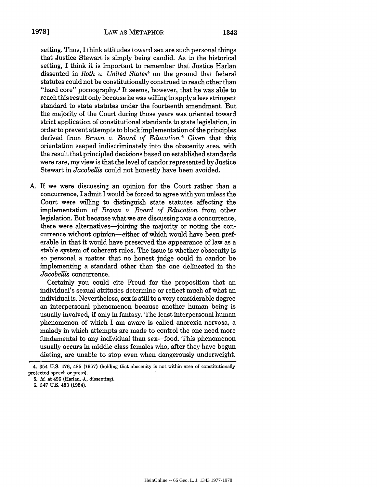setting. Thus, I think attitudes toward sex are such personal things that Justice Stewart is simply being candid. As to the historical setting, I think it is important to remember that Justice Harlan dissented in *Roth v. United States4* on the ground that federal statutes could not be constitutionally construed to reach other than "hard core" pornography.<sup>5</sup> It seems, however, that he was able to reach this result only because he was willing to apply a less stringent standard to state statutes under the fourteenth amendment. But the majority of the Court during those years was oriented toward strict application of constitutional standards to state legislation, in order to prevent attempts to block implementation of the principles derived from *Brown v. Board of Education.6* Given that this orientation seeped indiscriminately into the obscenity area, with the result that principled decisions based on established standards were rare, my view is that the level of candor represented by Justice Stewart in *Jacobellis* could not honestly have been avoided.

A. If we were discussing an opinion for the Court rather than a concurrence, I admit I would be forced to agree with you unless the Court were willing to distinguish state statutes affecting the implementation of *Brown v. Board of Education* from other legislation. But because what we are discussing *was* a concurrence, there were alternatives—joining the majority or noting the concurrence without opinion-either of which would have been preferable in that it would have preserved the appearance of law as a stable system of coherent rules. The issue is whether obscenity is so personal a matter that no honest judge could in candor be implementing a standard other than the one delineated in the *Jacobellis* concurrence.

Certainly you could cite Freud for the proposition that an individual's sexual attitudes determine or reflect much of what an individual is. Nevertheless, sex is still to a very considerable degree an interpersonal phenomenon because another human being is usually involved, if only in fantasy. The least interpersonal human phenomenon of which I am aware is called anorexia nervosa, a malady in which attempts are made to control the one need more fundamental to any individual than sex-food. This phenomenon usually occurs in middle class females who, after they have begun dieting, are unable to stop even when dangerously underweight.

<sup>4. 354</sup> U.S. 476, 485 (1957) (holding that obscenity is not within area of constitutionally protected speech or press).

<sup>5.</sup> *Id* at 496 (Harlan, J., dissenting).

<sup>6. 347</sup> U.S. 483 (1954).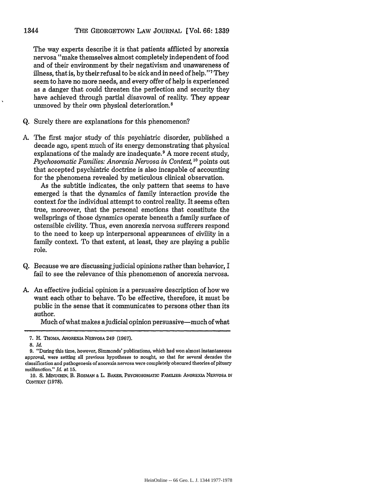The way experts describe it is that patients afflicted by anorexia nervosa "make themselves almost completely independent of food and of their environment by their negativism and unawareness of illness, that is, by their refusal to be sick and in need of help."' They seem to have no more needs, and every offer of help is experienced as a danger that could threaten the perfection and security they have achieved through partial disavowal of reality. They appear unmoved by their own physical deterioration.8

- Q. Surely there are explanations for this phenomenon?
- A. The first major study of this psychiatric disorder, published a decade ago, spent much of its energy demonstrating that physical explanations of the malady are inadequate.<sup>9</sup> A more recent study, Psychosomatic Families: Anorexia Nervosa in Context, <sup>10</sup> points out that accepted psychiatric doctrine is also incapable of accounting for the phenomena revealed by meticulous clinical observation.

As the subtitle indicates, the only pattern that seems to have emerged is that the dynamics of family interaction provide the context for the individual attempt to control reality. It seems often true, moreover, that the personal emotions that constitute the wellsprings of those dynamics operate beneath a family surface of ostensible civility. Thus, even anorexia nervosa sufferers respond to the need to keep up interpersonal appearances of civility in a family context. To that extent, at least, they are playing a public role.

- Q. Because we are discussing judicial opinions rather than behavior, I fail to see the relevance of this phenomenon of anorexia nervosa.
- A. An effective judicial opinion is a persuasive description of how we want each other to behave. To be effective, therefore, it must be public in the sense that it communicates to persons other than its author.

Much of what makes a judicial opinion persuasive—much of what

1344

<sup>7.</sup> H. THOMA, ANOREXIA NERVOSA 249 (1967).

**<sup>8.</sup>** *Id.*

<sup>9. &</sup>quot;During this time, however, Simmonds' publications, which had won almost instantaneous approval, were setting all previous hypotheses to nought, so that for several decades the classification and pathogenesis of anorexia nervosa were completely obscured theories of pituary malfunction." *Id* at 15.

*<sup>10.</sup>* **S.** MINUCHIN, B. ROSMAN **&** L. BAKER, PSYCHOSOMATIC **FAMILES:** ANOREXIA **NERVOSA IN** CONTEXT (1978).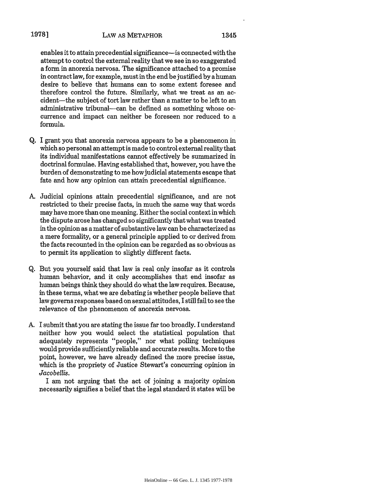enables it to attain precedential significance-is connected with the attempt to control the external reality that we see in so exaggerated a form in anorexia nervosa. The significance attached to a promise in contract law, for example, must in the end be justified by a human desire to believe that humans can to some extent foresee and therefore control the future. Similarly, what we treat as an accident-the subject of tort law rather than a matter to be left to an administrative tribunal-can be defined as something whose occurrence and impact can neither be foreseen nor reduced to a formula.

- Q. I grant you that anorexia nervosa appears to be a phenomenon in which so personal an attempt is made to control external reality that its individual manifestations cannot effectively be summarized in doctrinal formulae. Having established that, however, you have the burden of demonstrating to me how judicial statements escape that fate and how any opinion can attain precedential significance.
- A. Judicial opinions attain precedential significance, and are not restricted to their precise facts, in much the same way that words may have more than one meaning. Either the social context in which the dispute arose has changed so significantly that what was treated in the opinion as a matter of substantive law can be characterized as a mere formality, or a general principle applied to or derived from the facts recounted in the opinion can be regarded as so obvious as to permit its application to slightly different facts.
- Q. But you yourself said that law is real only insofar as it controls human behavior, and it only accomplishes that end insofar as human beings think they should do what the law requires. Because, in these terms, what we are debating is whether people believe that law governs responses based on sexual attitudes, I still fail to see the relevance of the phenomenon of anorexia nervosa.
- A. I submit that you are stating the issue far too broadly. I understand neither how you would select the statistical population that adequately represents "people," nor what polling techniques would provide sufficiently reliable and accurate results. More to the point, however, we have already defined the more precise issue, which is the propriety of Justice Stewart's concurring opinion in *Jacobellis.*

I am not arguing that the act of joining a majority opinion necessarily signifies a belief that the legal standard it states will be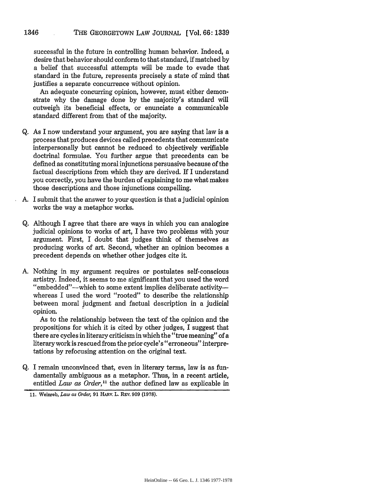successful in the future in controlling human behavior. Indeed, a desire that behavior should conform to that standard, if matched by a belief that successful attempts will be made to evade that standard in the future, represents precisely a state of mind that justifies a separate concurrence without opinion.

An adequate concurring opinion, however, must either demonstrate why the damage done by the majority's standard will outweigh its beneficial effects, or enunciate a communicable standard different from that of the majority.

- Q. As I now understand your argument, you are saying that law is a process that produces devices called precedents that communicate interpersonally but cannot be reduced to objectively verifiable doctrinal formulae. You further argue that precedents can be defined as constituting moral injunctions persuasive because of the factual descriptions from which they are derived. If I understand you correctly, you have the burden of explaining to me what makes those descriptions and those injunctions compelling.
- A. I submit that the answer to your question is that a judicial opinion works the way a metaphor works.
- Q. Although I agree that there are ways in which you can analogize judicial opinions to works of art, I have two problems with your argument. First, I doubt that judges think of themselves as producing works of art. Second, whether an opinion becomes a precedent depends on whether other judges cite it.
- A. Nothing in my argument requires or postulates self-conscious artistry. Indeed, it seems to me significant that you used the word "embedded"-which to some extent implies deliberate activitywhereas I used the word "rooted" to describe the relationship between moral judgment and factual description in a judicial opinion.

As to the relationship between the text of the opinion and the propositions for which it is cited by other judges, **I** suggest that there are cycles in literary criticism in which the "true meaning" of a literary work is rescued from the prior cycle's "erroneous" interpretations by refocusing attention on the original text.

Q. I remain unconvinced that, even in literary terms, law is as fundamentally ambiguous as a metaphor. Thus, in a recent article, entitled *Law as Order*,<sup>11</sup> the author defined law as explicable in

<sup>11.</sup> Weinreb, *Law as Order,* 91 HARV. L. REv. 909 (1978).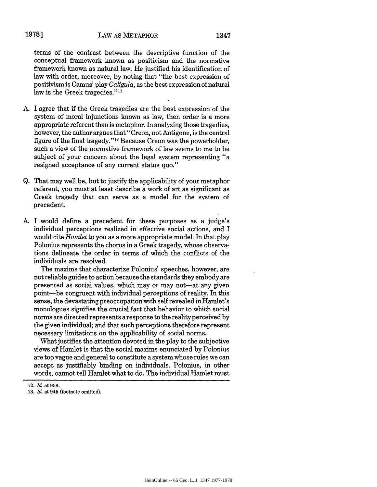## LAW AS METAPHOR **19781** 1347

terms of the contrast between the descriptive function of the conceptual framework known as positivism and the normative framework known as natural law. He justified his identification of law with order, moreover, by noting that "the best expression of positivism is Camus' play *Caligula,* as the best expression of natural law is the Greek tragedies."<sup>12</sup>

- A. I agree that if the Greek tragedies are the best expression of the system of moral injunctions known as law, then order is a more appropriate referent than is metaphor. In analyzing those tragedies, however, the author argues that" Creon, not Antigone, is the central figure of the final tragedy."<sup>13</sup> Because Creon was the powerholder, such a view of the normative framework of law seems to me to be subject of your concern about the legal system representing "a resigned acceptance of any current status quo."
- Q. That may well be, but to justify the applicability of your metaphor referent, you must at least describe a work of art as significant as Greek tragedy that can serve as a model for the system of precedent.
- A. I would define a precedent for these purposes as a judge's individual perceptions realized in effective social actions, and I would cite *Hamlet* to you as a more appropriate model. In that play Polonius represents the chorus in a Greek tragedy, whose observations delineate the order in terms of which the conflicts of the individuals are resolved.

The maxims that characterize Polonius' speeches, however, are notreliable guides to action because the standards they embody are presented as social values, which may or may not-at any given point-be congruent with individual perceptions of reality. In this sense, the devastating preoccupation with self revealed in Hamlet's monologues signifies the crucial fact that behavior to which social norms are directed represents a response to the reality perceived by the given individual; and that such perceptions therefore represent necessary limitations on the applicability of social norms.

What justifies the attention devoted in the play to the subjective views of Hamlet is that the social maxims enunciated by Polonius are too vague and general to constitute a system whose rules we can accept as justifiably binding on individuals. Polonius, in other words, cannot tell Hamlet what to do. The individual Hamlet must

<sup>12. 1&</sup>amp; at 958.

<sup>13.</sup> *Id.* at 945 (footnote omitted).